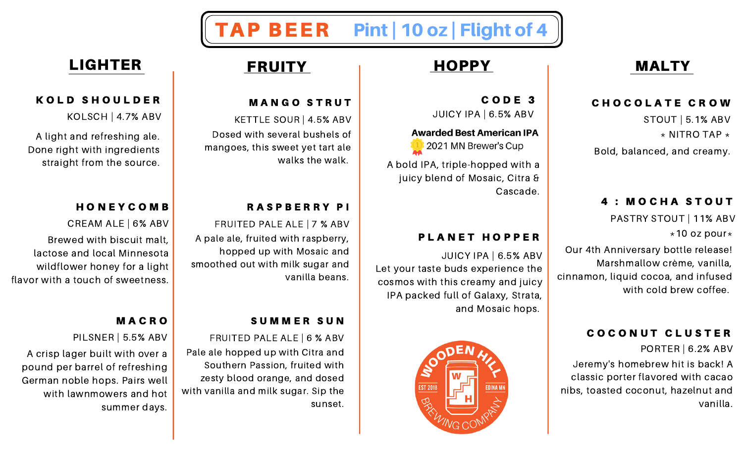# TAP BEER Pint | 10 oz | Flight of 4

C O D E 3 JUICY IPA | 6.5% ABV

C H O C O L A T E C R O W

Bold, balanced, and creamy.

4 : MOCHA STOUT

Our 4th Anniversary bottle release!

cinnamon, liquid cocoa, and infused

Marshmallow crème, vanilla,

COCONUT CLUSTER

Jeremy's homebrew hit is back! A classic porter flavored with cacao nibs, toasted coconut, hazelnut and

PASTRY STOUT | 11% ABV

with cold brew coffee.

PORTER | 6.2% ABV

vanilla.

STOUT | 5.1% ABV

 $\star$  NITRO TAP  $\star$ 

 $*10$  oz pour $*$ 

### **Awarded Best American IPA**



A bold IPA, triple-hopped with a juicy blend of Mosaic, Citra & Cascade.

## PLANET HOPPER

JUICY IPA | 6.5% ABV Let your taste buds experience the cosmos with this creamy and juicy IPA packed full of Galaxy, Strata, and Mosaic hops.



## **MANGO STRUT**

KETTLE SOUR | 4.5% ABV Dosed with several bushels of mangoes, this sweet yet tart ale walks the walk.

### R A S P B E R R Y P I

FRUITED PALE ALE | 7 % ABV

A pale ale, fruited with raspberry, hopped up with Mosaic and smoothed out with milk sugar and vanilla beans.

## SUMMER SUN

FRUITED PALE ALE | 6 % ABV Pale ale hopped up with Citra and Southern Passion, fruited with zesty blood orange, and dosed with vanilla and milk sugar. Sip the sunset.

## LIGHTER FRUITY HOPPY HOLTY

## KOLD SHOULDER

KOLSCH | 4.7% ABV

A light and refreshing ale. Done right with ingredients straight from the source.

## **HONEYCOMB**

CREAM ALE | 6% ABV

Brewed with biscuit malt, lactose and local Minnesota wildflower honey for a light flavor with a touch of sweetness.

## **MACRO**

PILSNER | 5.5% ABV

A crisp lager built with over a pound per barrel of refreshing German noble hops. Pairs well with lawnmowers and hot summer days.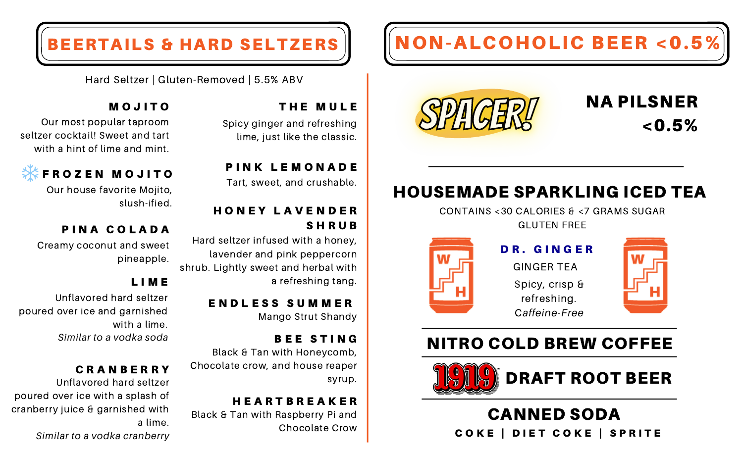# BEERTAILS & HARD SELTZERS NON-ALCOHOLIC BEER < 0.5%



# HOUSEMADE SPARKLING ICED TEA

CONTAINS <30 CALORIES & <7 GRAMS SUGAR GLUTEN FREE



NA PILSNER

 $< 0.5\%$ 

DR. GINGER GINGER TEA Spicy, crisp & refreshing. C*affeine-Free*

## NITRO COLD BREW COFFEE



## CANNED SODA COKE | DIET COKE | SPRITE

Hard Seltzer | Gluten-Removed | 5.5% ABV

## THE MULE

Spicy ginger and refreshing lime, just like the classic.

PINK LEMONADE Tart, sweet, and crushable.

## H O N E Y L A V E N D E R **SHRUB**

Hard seltzer infused with a honey, lavender and pink peppercorn shrub. Lightly sweet and herbal with a refreshing tang.

> E N D L E S S S U M M E R Mango Strut Shandy

BEE STING Black & Tan with Honeycomb, Chocolate crow, and house reaper syrup.

H E A R T B R E A K E R Black & Tan with Raspberry Pi and Chocolate Crow

## M O J I T O

Our most popular taproom seltzer cocktail! Sweet and tart with a hint of lime and mint.



Our house favorite Mojito, slush-ified.

## PINA COLADA

Creamy coconut and sweet pineapple.

## L I M E

Unflavored hard seltzer poured over ice and garnished with a lime. *Similar to a vodka soda*

## C R A N B E R R Y

Unflavored hard seltzer poured over ice with a splash of cranberry juice & garnished with a lime. *Similar to a vodka cranberry*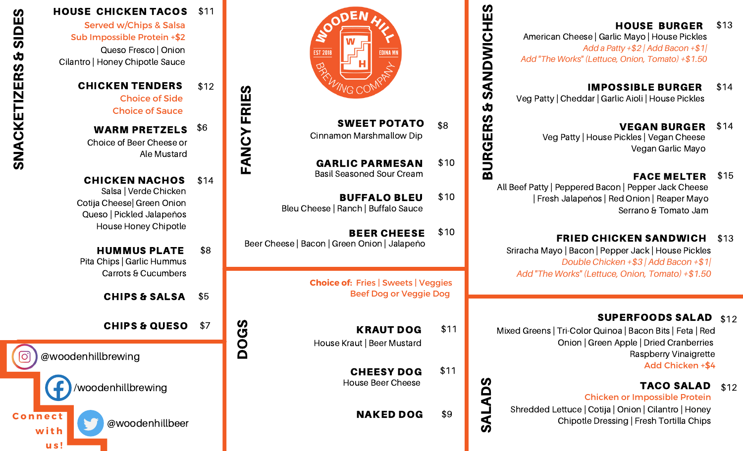## HOUSE BURGER \$13

American Cheese | Garlic Mayo | House Pickles *Add a Patty +\$2 | Add Bacon +\$1| Add "The Works" (Lettuce, Onion, Tomato) +\$1.50*

IMPOSSIBLE BURGER \$14 Veg Patty | Cheddar | Garlic Aioli | House Pickles

> VEGAN BURGER Veg Patty | House Pickles | Vegan Cheese Vegan Garlic Mayo \$14

## FACE MELTER \$15

 All Beef Patty | Peppered Bacon | Pepper Jack Cheese | Fresh Jalapeños | Red Onion | Reaper Mayo Serrano & Tomato Jam

FRIED CHICKEN SANDWICH \$13 Sriracha Mayo | Bacon | Pepper Jack | House Pickles *Double Chicken +\$3 | Add Bacon +\$1| Add "The Works" (Lettuce, Onion, Tomato) +\$1.50*

## SUPERFOODS SALAD \$12

Mixed Greens | Tri-Color Quinoa | Bacon Bits | Feta | Red Onion | Green Apple | Dried Cranberries Raspberry Vinaigrette Add Chicken +\$4

#### TACO SALAD \$12

Chicken or Impossible Protein

Shredded Lettuce | Cotija | Onion | Cilantro | Honey Chipotle Dressing | Fresh Tortilla Chips



SWEET POTATO \$8 Cinnamon Marshmallow Dip

GARLIC PARMESAN Basil Seasoned Sour Cream \$10

<u>ന</u>

(S ALA $\boldsymbol{\mathsf{\Omega}}$ (S

 $\Box$ RGER<u>ທ</u>  $\dot{\mathbf{\Phi}}$ <u>ဟ</u> AZ D

WIC

HE<u>ဟ</u>

BUFFALO BLEU Bleu Cheese | Ranch | Buffalo Sauce \$10

BEER CHEESE Beer Cheese | Bacon | Green Onion | Jalapeño \$10

> **Choice of:** Fries | Sweets | Veggies Beef Dog or Veggie Dog

House Kraut | Beer Mustard KRAUT DOG \$11

> CHEESY DOG House Beer Cheese \$11

> > **NAKED DOG \$9**



Served w/Chips & Salsa Queso Fresco | Onion Cilantro | Honey Chipotle Sauce Sub Impossible Protein +\$2

> CHICKEN TENDERS Choice of Side Choice of Sauce \$12

WARM PRETZELS \$6 Choice of Beer Cheese or Ale Mustard

 $\blacksquare$ AZ  $\mathbf{\mathsf{C}}$  $\blacktriangleright$  $\blacksquare$ 

DOG(S

RIE

<u>ဟ</u>

CHICKEN NACHOS Salsa | Verde Chicken Cotija Cheese| Green Onion Queso | Pickled Jalapeños House Honey Chipotle \$14

HUMMUS PLATE Pita Chips | Garlic Hummus Carrots & Cucumbers \$8

CHIPS & SALSA \$5

CHIPS & QUESO \$7



**u s !**